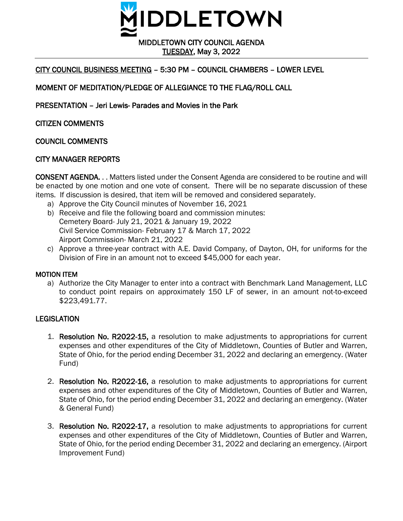

TUESDAY, May 3, 2022

# CITY COUNCIL BUSINESS MEETING – 5:30 PM – COUNCIL CHAMBERS – LOWER LEVEL

# MOMENT OF MEDITATION/PLEDGE OF ALLEGIANCE TO THE FLAG/ROLL CALL

PRESENTATION – Jeri Lewis- Parades and Movies in the Park

CITIZEN COMMENTS

COUNCIL COMMENTS

# CITY MANAGER REPORTS

CONSENT AGENDA. . . Matters listed under the Consent Agenda are considered to be routine and will be enacted by one motion and one vote of consent. There will be no separate discussion of these items. If discussion is desired, that item will be removed and considered separately.

- a) Approve the City Council minutes of November 16, 2021
- b) Receive and file the following board and commission minutes: Cemetery Board- July 21, 2021 & January 19, 2022 Civil Service Commission- February 17 & March 17, 2022 Airport Commission- March 21, 2022
- c) Approve a three-year contract with A.E. David Company, of Dayton, OH, for uniforms for the Division of Fire in an amount not to exceed \$45,000 for each year.

#### MOTION ITEM

a) Authorize the City Manager to enter into a contract with Benchmark Land Management, LLC to conduct point repairs on approximately 150 LF of sewer, in an amount not-to-exceed \$223,491.77.

# **LEGISLATION**

- 1. Resolution No. R2022-15, a resolution to make adjustments to appropriations for current expenses and other expenditures of the City of Middletown, Counties of Butler and Warren, State of Ohio, for the period ending December 31, 2022 and declaring an emergency. (Water Fund)
- 2. Resolution No. R2022-16, a resolution to make adjustments to appropriations for current expenses and other expenditures of the City of Middletown, Counties of Butler and Warren, State of Ohio, for the period ending December 31, 2022 and declaring an emergency. (Water & General Fund)
- 3. Resolution No. R2022-17, a resolution to make adjustments to appropriations for current expenses and other expenditures of the City of Middletown, Counties of Butler and Warren, State of Ohio, for the period ending December 31, 2022 and declaring an emergency. (Airport Improvement Fund)